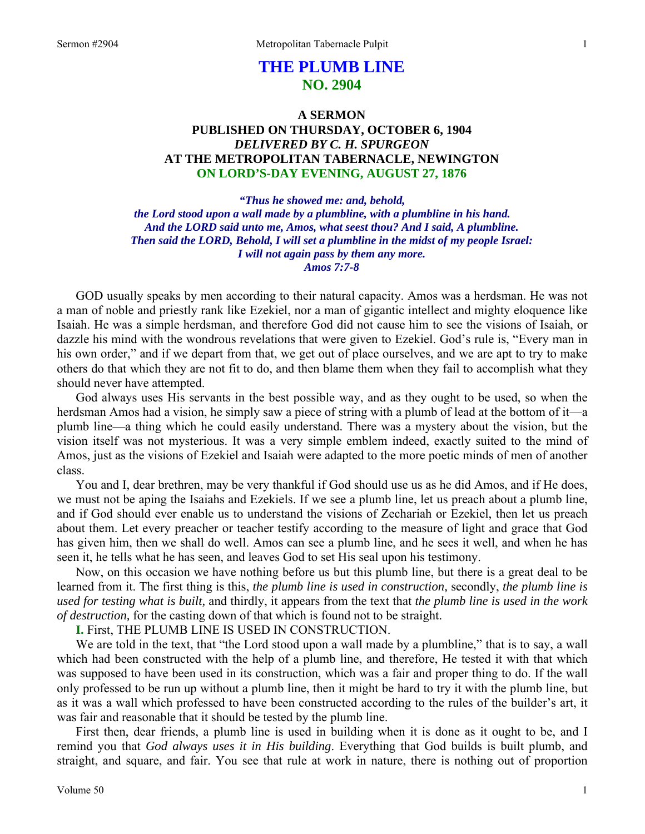# **THE PLUMB LINE NO. 2904**

# **A SERMON PUBLISHED ON THURSDAY, OCTOBER 6, 1904**  *DELIVERED BY C. H. SPURGEON*  **AT THE METROPOLITAN TABERNACLE, NEWINGTON ON LORD'S-DAY EVENING, AUGUST 27, 1876**

*"Thus he showed me: and, behold, the Lord stood upon a wall made by a plumbline, with a plumbline in his hand. And the LORD said unto me, Amos, what seest thou? And I said, A plumbline. Then said the LORD, Behold, I will set a plumbline in the midst of my people Israel: I will not again pass by them any more. Amos 7:7-8* 

GOD usually speaks by men according to their natural capacity. Amos was a herdsman. He was not a man of noble and priestly rank like Ezekiel, nor a man of gigantic intellect and mighty eloquence like Isaiah. He was a simple herdsman, and therefore God did not cause him to see the visions of Isaiah, or dazzle his mind with the wondrous revelations that were given to Ezekiel. God's rule is, "Every man in his own order," and if we depart from that, we get out of place ourselves, and we are apt to try to make others do that which they are not fit to do, and then blame them when they fail to accomplish what they should never have attempted.

God always uses His servants in the best possible way, and as they ought to be used, so when the herdsman Amos had a vision, he simply saw a piece of string with a plumb of lead at the bottom of it—a plumb line—a thing which he could easily understand. There was a mystery about the vision, but the vision itself was not mysterious. It was a very simple emblem indeed, exactly suited to the mind of Amos, just as the visions of Ezekiel and Isaiah were adapted to the more poetic minds of men of another class.

You and I, dear brethren, may be very thankful if God should use us as he did Amos, and if He does, we must not be aping the Isaiahs and Ezekiels. If we see a plumb line, let us preach about a plumb line, and if God should ever enable us to understand the visions of Zechariah or Ezekiel, then let us preach about them. Let every preacher or teacher testify according to the measure of light and grace that God has given him, then we shall do well. Amos can see a plumb line, and he sees it well, and when he has seen it, he tells what he has seen, and leaves God to set His seal upon his testimony.

Now, on this occasion we have nothing before us but this plumb line, but there is a great deal to be learned from it. The first thing is this, *the plumb line is used in construction,* secondly, *the plumb line is used for testing what is built,* and thirdly, it appears from the text that *the plumb line is used in the work of destruction,* for the casting down of that which is found not to be straight.

**I.** First, THE PLUMB LINE IS USED IN CONSTRUCTION.

We are told in the text, that "the Lord stood upon a wall made by a plumbline," that is to say, a wall which had been constructed with the help of a plumb line, and therefore, He tested it with that which was supposed to have been used in its construction, which was a fair and proper thing to do. If the wall only professed to be run up without a plumb line, then it might be hard to try it with the plumb line, but as it was a wall which professed to have been constructed according to the rules of the builder's art, it was fair and reasonable that it should be tested by the plumb line.

First then, dear friends, a plumb line is used in building when it is done as it ought to be, and I remind you that *God always uses it in His building*. Everything that God builds is built plumb, and straight, and square, and fair. You see that rule at work in nature, there is nothing out of proportion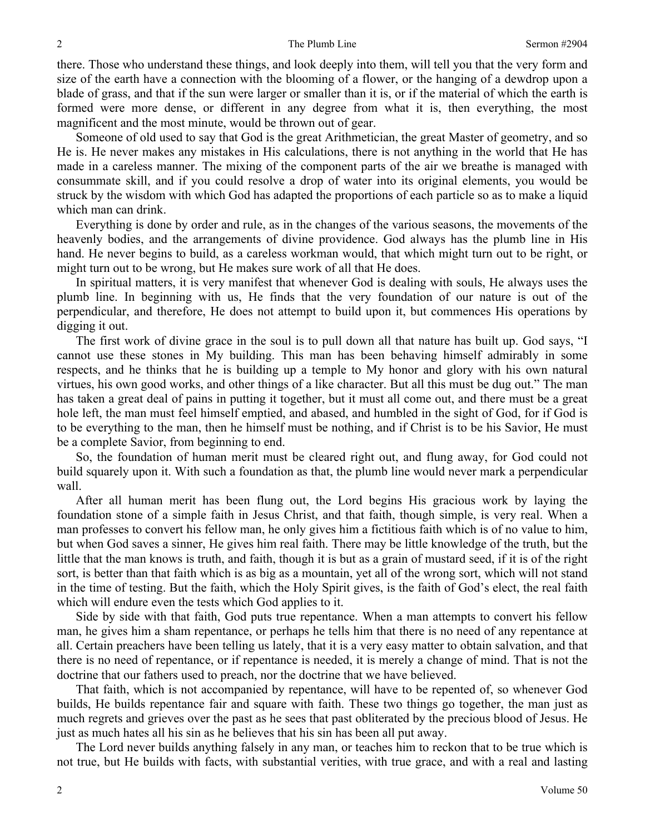there. Those who understand these things, and look deeply into them, will tell you that the very form and size of the earth have a connection with the blooming of a flower, or the hanging of a dewdrop upon a blade of grass, and that if the sun were larger or smaller than it is, or if the material of which the earth is formed were more dense, or different in any degree from what it is, then everything, the most magnificent and the most minute, would be thrown out of gear.

Someone of old used to say that God is the great Arithmetician, the great Master of geometry, and so He is. He never makes any mistakes in His calculations, there is not anything in the world that He has made in a careless manner. The mixing of the component parts of the air we breathe is managed with consummate skill, and if you could resolve a drop of water into its original elements, you would be struck by the wisdom with which God has adapted the proportions of each particle so as to make a liquid which man can drink.

Everything is done by order and rule, as in the changes of the various seasons, the movements of the heavenly bodies, and the arrangements of divine providence. God always has the plumb line in His hand. He never begins to build, as a careless workman would, that which might turn out to be right, or might turn out to be wrong, but He makes sure work of all that He does.

In spiritual matters, it is very manifest that whenever God is dealing with souls, He always uses the plumb line. In beginning with us, He finds that the very foundation of our nature is out of the perpendicular, and therefore, He does not attempt to build upon it, but commences His operations by digging it out.

The first work of divine grace in the soul is to pull down all that nature has built up. God says, "I cannot use these stones in My building. This man has been behaving himself admirably in some respects, and he thinks that he is building up a temple to My honor and glory with his own natural virtues, his own good works, and other things of a like character. But all this must be dug out." The man has taken a great deal of pains in putting it together, but it must all come out, and there must be a great hole left, the man must feel himself emptied, and abased, and humbled in the sight of God, for if God is to be everything to the man, then he himself must be nothing, and if Christ is to be his Savior, He must be a complete Savior, from beginning to end.

So, the foundation of human merit must be cleared right out, and flung away, for God could not build squarely upon it. With such a foundation as that, the plumb line would never mark a perpendicular wall.

After all human merit has been flung out, the Lord begins His gracious work by laying the foundation stone of a simple faith in Jesus Christ, and that faith, though simple, is very real. When a man professes to convert his fellow man, he only gives him a fictitious faith which is of no value to him, but when God saves a sinner, He gives him real faith. There may be little knowledge of the truth, but the little that the man knows is truth, and faith, though it is but as a grain of mustard seed, if it is of the right sort, is better than that faith which is as big as a mountain, yet all of the wrong sort, which will not stand in the time of testing. But the faith, which the Holy Spirit gives, is the faith of God's elect, the real faith which will endure even the tests which God applies to it.

Side by side with that faith, God puts true repentance. When a man attempts to convert his fellow man, he gives him a sham repentance, or perhaps he tells him that there is no need of any repentance at all. Certain preachers have been telling us lately, that it is a very easy matter to obtain salvation, and that there is no need of repentance, or if repentance is needed, it is merely a change of mind. That is not the doctrine that our fathers used to preach, nor the doctrine that we have believed.

That faith, which is not accompanied by repentance, will have to be repented of, so whenever God builds, He builds repentance fair and square with faith. These two things go together, the man just as much regrets and grieves over the past as he sees that past obliterated by the precious blood of Jesus. He just as much hates all his sin as he believes that his sin has been all put away.

The Lord never builds anything falsely in any man, or teaches him to reckon that to be true which is not true, but He builds with facts, with substantial verities, with true grace, and with a real and lasting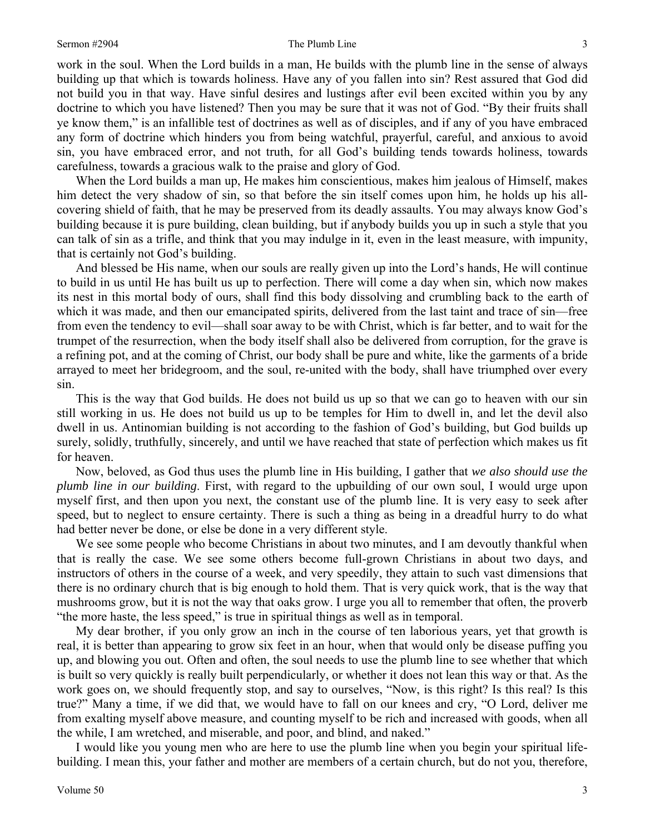work in the soul. When the Lord builds in a man, He builds with the plumb line in the sense of always building up that which is towards holiness. Have any of you fallen into sin? Rest assured that God did not build you in that way. Have sinful desires and lustings after evil been excited within you by any doctrine to which you have listened? Then you may be sure that it was not of God. "By their fruits shall ye know them," is an infallible test of doctrines as well as of disciples, and if any of you have embraced any form of doctrine which hinders you from being watchful, prayerful, careful, and anxious to avoid sin, you have embraced error, and not truth, for all God's building tends towards holiness, towards carefulness, towards a gracious walk to the praise and glory of God.

When the Lord builds a man up, He makes him conscientious, makes him jealous of Himself, makes him detect the very shadow of sin, so that before the sin itself comes upon him, he holds up his allcovering shield of faith, that he may be preserved from its deadly assaults. You may always know God's building because it is pure building, clean building, but if anybody builds you up in such a style that you can talk of sin as a trifle, and think that you may indulge in it, even in the least measure, with impunity, that is certainly not God's building.

And blessed be His name, when our souls are really given up into the Lord's hands, He will continue to build in us until He has built us up to perfection. There will come a day when sin, which now makes its nest in this mortal body of ours, shall find this body dissolving and crumbling back to the earth of which it was made, and then our emancipated spirits, delivered from the last taint and trace of sin—free from even the tendency to evil—shall soar away to be with Christ, which is far better, and to wait for the trumpet of the resurrection, when the body itself shall also be delivered from corruption, for the grave is a refining pot, and at the coming of Christ, our body shall be pure and white, like the garments of a bride arrayed to meet her bridegroom, and the soul, re-united with the body, shall have triumphed over every sin.

This is the way that God builds. He does not build us up so that we can go to heaven with our sin still working in us. He does not build us up to be temples for Him to dwell in, and let the devil also dwell in us. Antinomian building is not according to the fashion of God's building, but God builds up surely, solidly, truthfully, sincerely, and until we have reached that state of perfection which makes us fit for heaven.

Now, beloved, as God thus uses the plumb line in His building, I gather that *we also should use the plumb line in our building*. First, with regard to the upbuilding of our own soul, I would urge upon myself first, and then upon you next, the constant use of the plumb line. It is very easy to seek after speed, but to neglect to ensure certainty. There is such a thing as being in a dreadful hurry to do what had better never be done, or else be done in a very different style.

We see some people who become Christians in about two minutes, and I am devoutly thankful when that is really the case. We see some others become full-grown Christians in about two days, and instructors of others in the course of a week, and very speedily, they attain to such vast dimensions that there is no ordinary church that is big enough to hold them. That is very quick work, that is the way that mushrooms grow, but it is not the way that oaks grow. I urge you all to remember that often, the proverb "the more haste, the less speed," is true in spiritual things as well as in temporal.

My dear brother, if you only grow an inch in the course of ten laborious years, yet that growth is real, it is better than appearing to grow six feet in an hour, when that would only be disease puffing you up, and blowing you out. Often and often, the soul needs to use the plumb line to see whether that which is built so very quickly is really built perpendicularly, or whether it does not lean this way or that. As the work goes on, we should frequently stop, and say to ourselves, "Now, is this right? Is this real? Is this true?" Many a time, if we did that, we would have to fall on our knees and cry, "O Lord, deliver me from exalting myself above measure, and counting myself to be rich and increased with goods, when all the while, I am wretched, and miserable, and poor, and blind, and naked."

I would like you young men who are here to use the plumb line when you begin your spiritual lifebuilding. I mean this, your father and mother are members of a certain church, but do not you, therefore,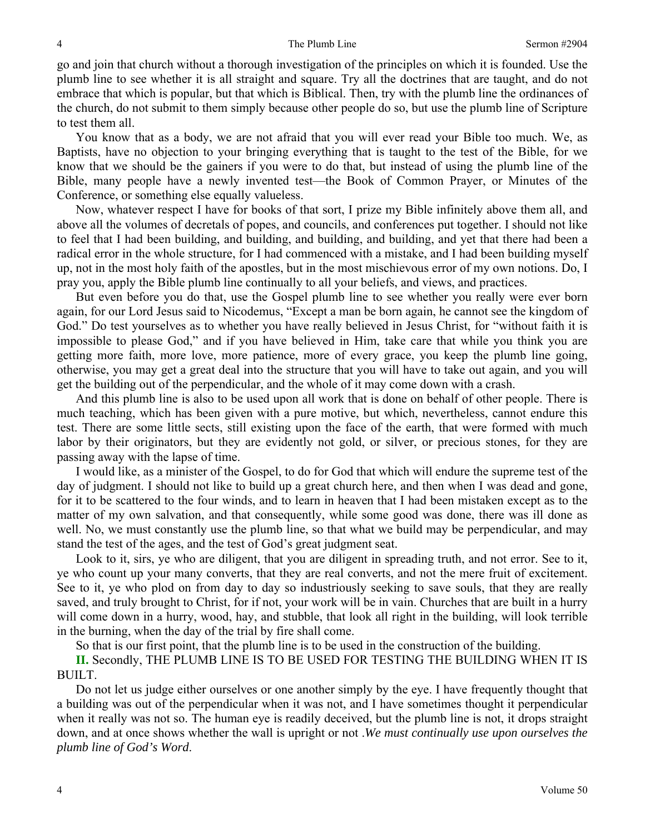go and join that church without a thorough investigation of the principles on which it is founded. Use the plumb line to see whether it is all straight and square. Try all the doctrines that are taught, and do not embrace that which is popular, but that which is Biblical. Then, try with the plumb line the ordinances of the church, do not submit to them simply because other people do so, but use the plumb line of Scripture to test them all.

You know that as a body, we are not afraid that you will ever read your Bible too much. We, as Baptists, have no objection to your bringing everything that is taught to the test of the Bible, for we know that we should be the gainers if you were to do that, but instead of using the plumb line of the Bible, many people have a newly invented test—the Book of Common Prayer, or Minutes of the Conference, or something else equally valueless.

Now, whatever respect I have for books of that sort, I prize my Bible infinitely above them all, and above all the volumes of decretals of popes, and councils, and conferences put together. I should not like to feel that I had been building, and building, and building, and building, and yet that there had been a radical error in the whole structure, for I had commenced with a mistake, and I had been building myself up, not in the most holy faith of the apostles, but in the most mischievous error of my own notions. Do, I pray you, apply the Bible plumb line continually to all your beliefs, and views, and practices.

But even before you do that, use the Gospel plumb line to see whether you really were ever born again, for our Lord Jesus said to Nicodemus, "Except a man be born again, he cannot see the kingdom of God." Do test yourselves as to whether you have really believed in Jesus Christ, for "without faith it is impossible to please God," and if you have believed in Him, take care that while you think you are getting more faith, more love, more patience, more of every grace, you keep the plumb line going, otherwise, you may get a great deal into the structure that you will have to take out again, and you will get the building out of the perpendicular, and the whole of it may come down with a crash.

And this plumb line is also to be used upon all work that is done on behalf of other people. There is much teaching, which has been given with a pure motive, but which, nevertheless, cannot endure this test. There are some little sects, still existing upon the face of the earth, that were formed with much labor by their originators, but they are evidently not gold, or silver, or precious stones, for they are passing away with the lapse of time.

I would like, as a minister of the Gospel, to do for God that which will endure the supreme test of the day of judgment. I should not like to build up a great church here, and then when I was dead and gone, for it to be scattered to the four winds, and to learn in heaven that I had been mistaken except as to the matter of my own salvation, and that consequently, while some good was done, there was ill done as well. No, we must constantly use the plumb line, so that what we build may be perpendicular, and may stand the test of the ages, and the test of God's great judgment seat.

Look to it, sirs, ye who are diligent, that you are diligent in spreading truth, and not error. See to it, ye who count up your many converts, that they are real converts, and not the mere fruit of excitement. See to it, ye who plod on from day to day so industriously seeking to save souls, that they are really saved, and truly brought to Christ, for if not, your work will be in vain. Churches that are built in a hurry will come down in a hurry, wood, hay, and stubble, that look all right in the building, will look terrible in the burning, when the day of the trial by fire shall come.

So that is our first point, that the plumb line is to be used in the construction of the building.

**II.** Secondly, THE PLUMB LINE IS TO BE USED FOR TESTING THE BUILDING WHEN IT IS BUILT.

Do not let us judge either ourselves or one another simply by the eye. I have frequently thought that a building was out of the perpendicular when it was not, and I have sometimes thought it perpendicular when it really was not so. The human eye is readily deceived, but the plumb line is not, it drops straight down, and at once shows whether the wall is upright or not .*We must continually use upon ourselves the plumb line of God's Word*.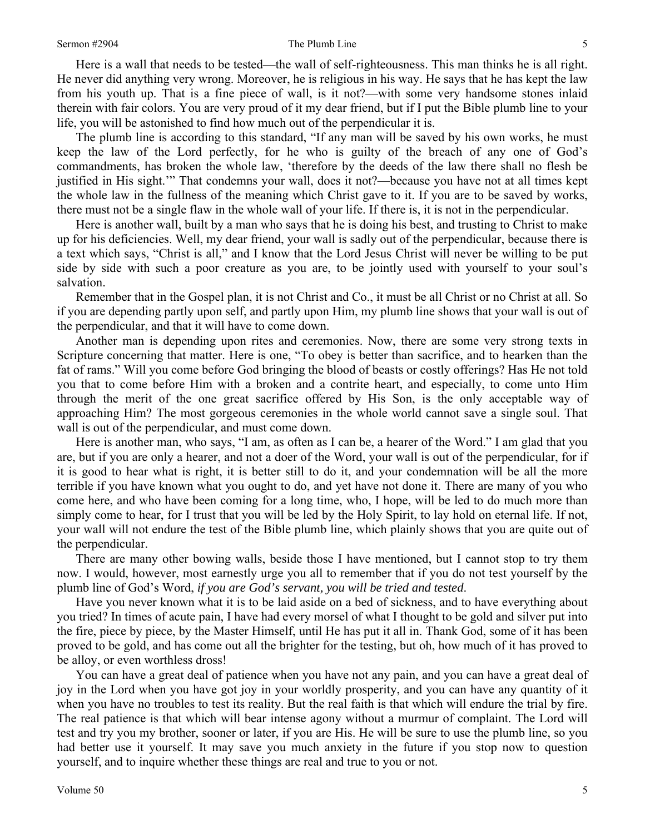#### Sermon #2904 5

Here is a wall that needs to be tested—the wall of self-righteousness. This man thinks he is all right. He never did anything very wrong. Moreover, he is religious in his way. He says that he has kept the law from his youth up. That is a fine piece of wall, is it not?—with some very handsome stones inlaid therein with fair colors. You are very proud of it my dear friend, but if I put the Bible plumb line to your life, you will be astonished to find how much out of the perpendicular it is.

The plumb line is according to this standard, "If any man will be saved by his own works, he must keep the law of the Lord perfectly, for he who is guilty of the breach of any one of God's commandments, has broken the whole law, 'therefore by the deeds of the law there shall no flesh be justified in His sight.'" That condemns your wall, does it not?—because you have not at all times kept the whole law in the fullness of the meaning which Christ gave to it. If you are to be saved by works, there must not be a single flaw in the whole wall of your life. If there is, it is not in the perpendicular.

Here is another wall, built by a man who says that he is doing his best, and trusting to Christ to make up for his deficiencies. Well, my dear friend, your wall is sadly out of the perpendicular, because there is a text which says, "Christ is all," and I know that the Lord Jesus Christ will never be willing to be put side by side with such a poor creature as you are, to be jointly used with yourself to your soul's salvation.

Remember that in the Gospel plan, it is not Christ and Co., it must be all Christ or no Christ at all. So if you are depending partly upon self, and partly upon Him, my plumb line shows that your wall is out of the perpendicular, and that it will have to come down.

Another man is depending upon rites and ceremonies. Now, there are some very strong texts in Scripture concerning that matter. Here is one, "To obey is better than sacrifice, and to hearken than the fat of rams." Will you come before God bringing the blood of beasts or costly offerings? Has He not told you that to come before Him with a broken and a contrite heart, and especially, to come unto Him through the merit of the one great sacrifice offered by His Son, is the only acceptable way of approaching Him? The most gorgeous ceremonies in the whole world cannot save a single soul. That wall is out of the perpendicular, and must come down.

Here is another man, who says, "I am, as often as I can be, a hearer of the Word." I am glad that you are, but if you are only a hearer, and not a doer of the Word, your wall is out of the perpendicular, for if it is good to hear what is right, it is better still to do it, and your condemnation will be all the more terrible if you have known what you ought to do, and yet have not done it. There are many of you who come here, and who have been coming for a long time, who, I hope, will be led to do much more than simply come to hear, for I trust that you will be led by the Holy Spirit, to lay hold on eternal life. If not, your wall will not endure the test of the Bible plumb line, which plainly shows that you are quite out of the perpendicular.

There are many other bowing walls, beside those I have mentioned, but I cannot stop to try them now. I would, however, most earnestly urge you all to remember that if you do not test yourself by the plumb line of God's Word, *if you are God's servant, you will be tried and tested*.

Have you never known what it is to be laid aside on a bed of sickness, and to have everything about you tried? In times of acute pain, I have had every morsel of what I thought to be gold and silver put into the fire, piece by piece, by the Master Himself, until He has put it all in. Thank God, some of it has been proved to be gold, and has come out all the brighter for the testing, but oh, how much of it has proved to be alloy, or even worthless dross!

You can have a great deal of patience when you have not any pain, and you can have a great deal of joy in the Lord when you have got joy in your worldly prosperity, and you can have any quantity of it when you have no troubles to test its reality. But the real faith is that which will endure the trial by fire. The real patience is that which will bear intense agony without a murmur of complaint. The Lord will test and try you my brother, sooner or later, if you are His. He will be sure to use the plumb line, so you had better use it yourself. It may save you much anxiety in the future if you stop now to question yourself, and to inquire whether these things are real and true to you or not.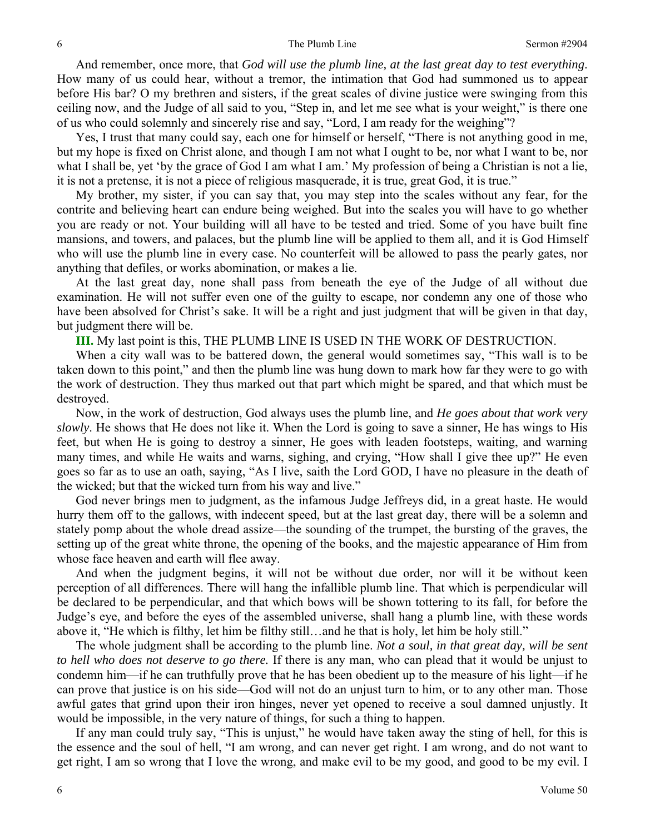And remember, once more, that *God will use the plumb line, at the last great day to test everything*. How many of us could hear, without a tremor, the intimation that God had summoned us to appear before His bar? O my brethren and sisters, if the great scales of divine justice were swinging from this ceiling now, and the Judge of all said to you, "Step in, and let me see what is your weight," is there one of us who could solemnly and sincerely rise and say, "Lord, I am ready for the weighing"?

Yes, I trust that many could say, each one for himself or herself, "There is not anything good in me, but my hope is fixed on Christ alone, and though I am not what I ought to be, nor what I want to be, nor what I shall be, yet 'by the grace of God I am what I am.' My profession of being a Christian is not a lie, it is not a pretense, it is not a piece of religious masquerade, it is true, great God, it is true."

My brother, my sister, if you can say that, you may step into the scales without any fear, for the contrite and believing heart can endure being weighed. But into the scales you will have to go whether you are ready or not. Your building will all have to be tested and tried. Some of you have built fine mansions, and towers, and palaces, but the plumb line will be applied to them all, and it is God Himself who will use the plumb line in every case. No counterfeit will be allowed to pass the pearly gates, nor anything that defiles, or works abomination, or makes a lie.

At the last great day, none shall pass from beneath the eye of the Judge of all without due examination. He will not suffer even one of the guilty to escape, nor condemn any one of those who have been absolved for Christ's sake. It will be a right and just judgment that will be given in that day, but judgment there will be.

**III.** My last point is this, THE PLUMB LINE IS USED IN THE WORK OF DESTRUCTION.

When a city wall was to be battered down, the general would sometimes say, "This wall is to be taken down to this point," and then the plumb line was hung down to mark how far they were to go with the work of destruction. They thus marked out that part which might be spared, and that which must be destroyed.

Now, in the work of destruction, God always uses the plumb line, and *He goes about that work very slowly*. He shows that He does not like it. When the Lord is going to save a sinner, He has wings to His feet, but when He is going to destroy a sinner, He goes with leaden footsteps, waiting, and warning many times, and while He waits and warns, sighing, and crying, "How shall I give thee up?" He even goes so far as to use an oath, saying, "As I live, saith the Lord GOD, I have no pleasure in the death of the wicked; but that the wicked turn from his way and live."

God never brings men to judgment, as the infamous Judge Jeffreys did, in a great haste. He would hurry them off to the gallows, with indecent speed, but at the last great day, there will be a solemn and stately pomp about the whole dread assize—the sounding of the trumpet, the bursting of the graves, the setting up of the great white throne, the opening of the books, and the majestic appearance of Him from whose face heaven and earth will flee away.

And when the judgment begins, it will not be without due order, nor will it be without keen perception of all differences. There will hang the infallible plumb line. That which is perpendicular will be declared to be perpendicular, and that which bows will be shown tottering to its fall, for before the Judge's eye, and before the eyes of the assembled universe, shall hang a plumb line, with these words above it, "He which is filthy, let him be filthy still…and he that is holy, let him be holy still."

The whole judgment shall be according to the plumb line. *Not a soul, in that great day, will be sent to hell who does not deserve to go there.* If there is any man, who can plead that it would be unjust to condemn him—if he can truthfully prove that he has been obedient up to the measure of his light—if he can prove that justice is on his side—God will not do an unjust turn to him, or to any other man. Those awful gates that grind upon their iron hinges, never yet opened to receive a soul damned unjustly. It would be impossible, in the very nature of things, for such a thing to happen.

If any man could truly say, "This is unjust," he would have taken away the sting of hell, for this is the essence and the soul of hell, "I am wrong, and can never get right. I am wrong, and do not want to get right, I am so wrong that I love the wrong, and make evil to be my good, and good to be my evil. I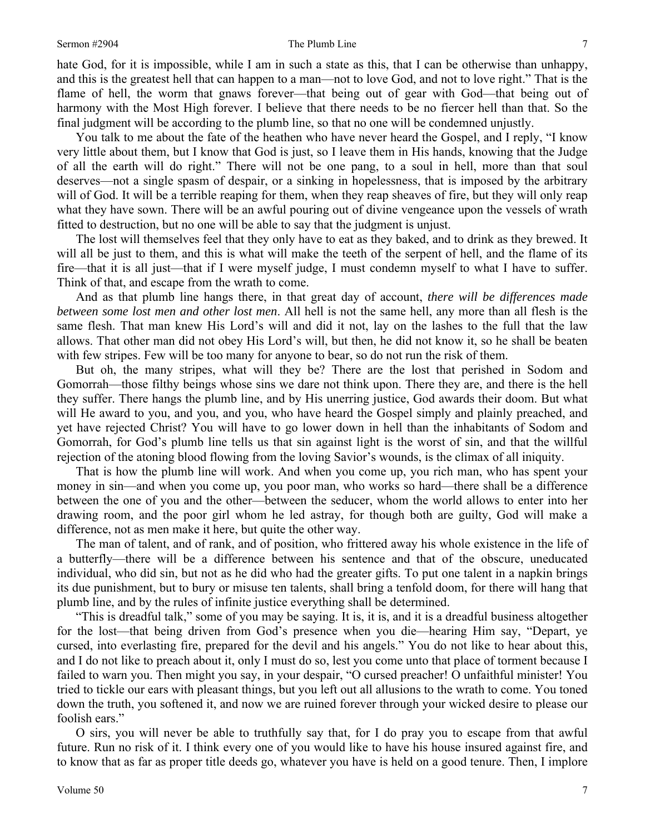#### Sermon #2904 **The Plumb Line** 7

hate God, for it is impossible, while I am in such a state as this, that I can be otherwise than unhappy, and this is the greatest hell that can happen to a man—not to love God, and not to love right." That is the flame of hell, the worm that gnaws forever—that being out of gear with God—that being out of harmony with the Most High forever. I believe that there needs to be no fiercer hell than that. So the final judgment will be according to the plumb line, so that no one will be condemned unjustly.

You talk to me about the fate of the heathen who have never heard the Gospel, and I reply, "I know very little about them, but I know that God is just, so I leave them in His hands, knowing that the Judge of all the earth will do right." There will not be one pang, to a soul in hell, more than that soul deserves—not a single spasm of despair, or a sinking in hopelessness, that is imposed by the arbitrary will of God. It will be a terrible reaping for them, when they reap sheaves of fire, but they will only reap what they have sown. There will be an awful pouring out of divine vengeance upon the vessels of wrath fitted to destruction, but no one will be able to say that the judgment is unjust.

The lost will themselves feel that they only have to eat as they baked, and to drink as they brewed. It will all be just to them, and this is what will make the teeth of the serpent of hell, and the flame of its fire—that it is all just—that if I were myself judge, I must condemn myself to what I have to suffer. Think of that, and escape from the wrath to come.

And as that plumb line hangs there, in that great day of account, *there will be differences made between some lost men and other lost men*. All hell is not the same hell, any more than all flesh is the same flesh. That man knew His Lord's will and did it not, lay on the lashes to the full that the law allows. That other man did not obey His Lord's will, but then, he did not know it, so he shall be beaten with few stripes. Few will be too many for anyone to bear, so do not run the risk of them.

But oh, the many stripes, what will they be? There are the lost that perished in Sodom and Gomorrah—those filthy beings whose sins we dare not think upon. There they are, and there is the hell they suffer. There hangs the plumb line, and by His unerring justice, God awards their doom. But what will He award to you, and you, and you, who have heard the Gospel simply and plainly preached, and yet have rejected Christ? You will have to go lower down in hell than the inhabitants of Sodom and Gomorrah, for God's plumb line tells us that sin against light is the worst of sin, and that the willful rejection of the atoning blood flowing from the loving Savior's wounds, is the climax of all iniquity.

That is how the plumb line will work. And when you come up, you rich man, who has spent your money in sin—and when you come up, you poor man, who works so hard—there shall be a difference between the one of you and the other—between the seducer, whom the world allows to enter into her drawing room, and the poor girl whom he led astray, for though both are guilty, God will make a difference, not as men make it here, but quite the other way.

The man of talent, and of rank, and of position, who frittered away his whole existence in the life of a butterfly—there will be a difference between his sentence and that of the obscure, uneducated individual, who did sin, but not as he did who had the greater gifts. To put one talent in a napkin brings its due punishment, but to bury or misuse ten talents, shall bring a tenfold doom, for there will hang that plumb line, and by the rules of infinite justice everything shall be determined.

"This is dreadful talk," some of you may be saying. It is, it is, and it is a dreadful business altogether for the lost—that being driven from God's presence when you die—hearing Him say, "Depart, ye cursed, into everlasting fire, prepared for the devil and his angels." You do not like to hear about this, and I do not like to preach about it, only I must do so, lest you come unto that place of torment because I failed to warn you. Then might you say, in your despair, "O cursed preacher! O unfaithful minister! You tried to tickle our ears with pleasant things, but you left out all allusions to the wrath to come. You toned down the truth, you softened it, and now we are ruined forever through your wicked desire to please our foolish ears."

O sirs, you will never be able to truthfully say that, for I do pray you to escape from that awful future. Run no risk of it. I think every one of you would like to have his house insured against fire, and to know that as far as proper title deeds go, whatever you have is held on a good tenure. Then, I implore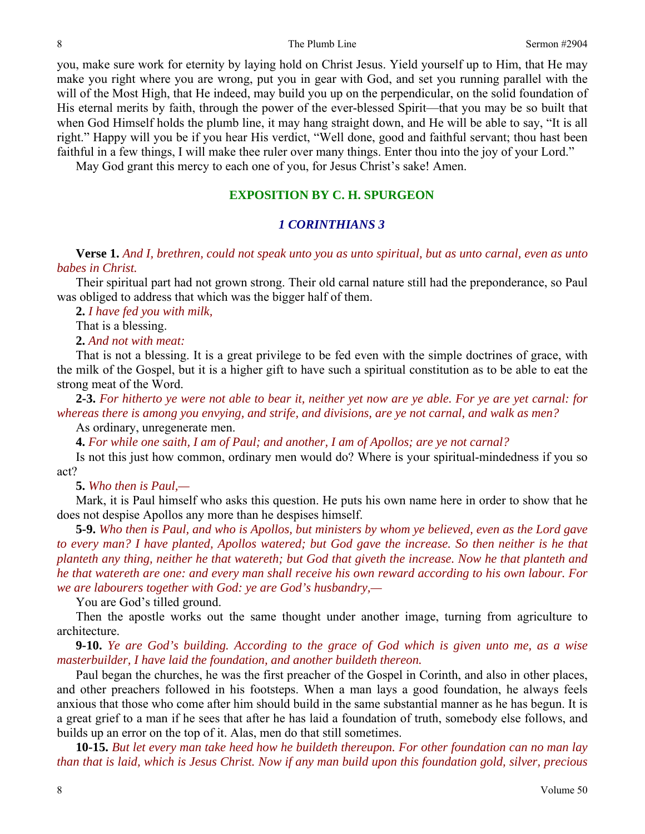you, make sure work for eternity by laying hold on Christ Jesus. Yield yourself up to Him, that He may make you right where you are wrong, put you in gear with God, and set you running parallel with the will of the Most High, that He indeed, may build you up on the perpendicular, on the solid foundation of His eternal merits by faith, through the power of the ever-blessed Spirit—that you may be so built that when God Himself holds the plumb line, it may hang straight down, and He will be able to say, "It is all right." Happy will you be if you hear His verdict, "Well done, good and faithful servant; thou hast been faithful in a few things, I will make thee ruler over many things. Enter thou into the joy of your Lord."

May God grant this mercy to each one of you, for Jesus Christ's sake! Amen.

# **EXPOSITION BY C. H. SPURGEON**

## *1 CORINTHIANS 3*

**Verse 1.** *And I, brethren, could not speak unto you as unto spiritual, but as unto carnal, even as unto babes in Christ.* 

Their spiritual part had not grown strong. Their old carnal nature still had the preponderance, so Paul was obliged to address that which was the bigger half of them.

**2.** *I have fed you with milk,*

That is a blessing.

**2.** *And not with meat:*

That is not a blessing. It is a great privilege to be fed even with the simple doctrines of grace, with the milk of the Gospel, but it is a higher gift to have such a spiritual constitution as to be able to eat the strong meat of the Word.

**2-3.** *For hitherto ye were not able to bear it, neither yet now are ye able. For ye are yet carnal: for whereas there is among you envying, and strife, and divisions, are ye not carnal, and walk as men?* 

As ordinary, unregenerate men.

**4.** *For while one saith, I am of Paul; and another, I am of Apollos; are ye not carnal?* 

Is not this just how common, ordinary men would do? Where is your spiritual-mindedness if you so act?

**5.** *Who then is Paul,—* 

Mark, it is Paul himself who asks this question. He puts his own name here in order to show that he does not despise Apollos any more than he despises himself.

**5-9.** *Who then is Paul, and who is Apollos, but ministers by whom ye believed, even as the Lord gave to every man? I have planted, Apollos watered; but God gave the increase. So then neither is he that planteth any thing, neither he that watereth; but God that giveth the increase. Now he that planteth and he that watereth are one: and every man shall receive his own reward according to his own labour. For we are labourers together with God: ye are God's husbandry,—* 

You are God's tilled ground.

Then the apostle works out the same thought under another image, turning from agriculture to architecture.

**9-10.** *Ye are God's building. According to the grace of God which is given unto me, as a wise masterbuilder, I have laid the foundation, and another buildeth thereon.* 

Paul began the churches, he was the first preacher of the Gospel in Corinth, and also in other places, and other preachers followed in his footsteps. When a man lays a good foundation, he always feels anxious that those who come after him should build in the same substantial manner as he has begun. It is a great grief to a man if he sees that after he has laid a foundation of truth, somebody else follows, and builds up an error on the top of it. Alas, men do that still sometimes.

**10-15.** *But let every man take heed how he buildeth thereupon. For other foundation can no man lay than that is laid, which is Jesus Christ. Now if any man build upon this foundation gold, silver, precious*